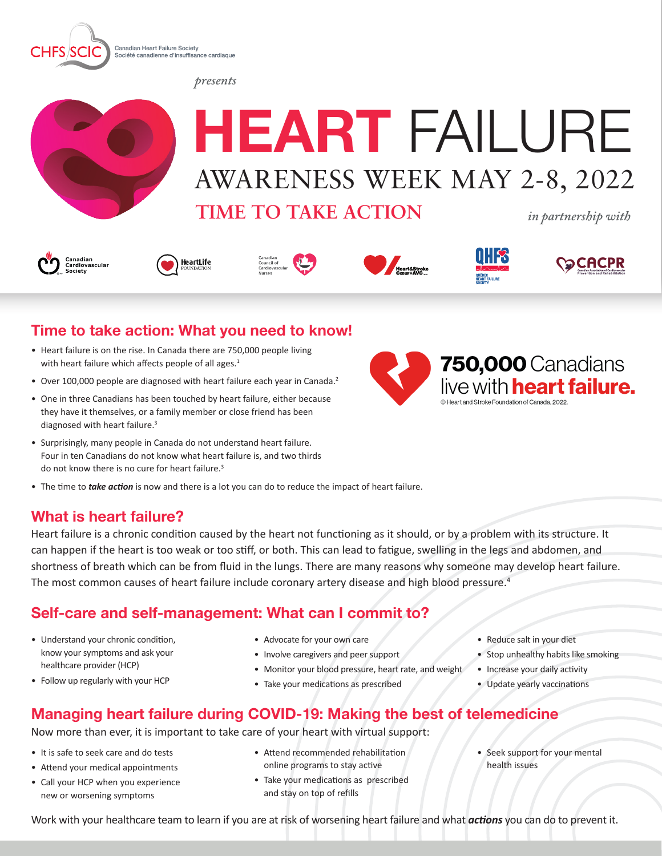

*presents*



# **HEART** FAILURE AWARENESS WEEK MAY 2-8, 2022

**TIME TO TAKE ACTION**

*in partnership with*













## **Time to take action: What you need to know!**

- Heart failure is on the rise. In Canada there are 750,000 people living with heart failure which affects people of all ages.<sup>1</sup>
- Over 100,000 people are diagnosed with heart failure each year in Canada.<sup>2</sup>
- One in three Canadians has been touched by heart failure, either because they have it themselves, or a family member or close friend has been diagnosed with heart failure.<sup>3</sup>
- Surprisingly, many people in Canada do not understand heart failure. Four in ten Canadians do not know what heart failure is, and two thirds do not know there is no cure for heart failure.<sup>3</sup>
- The time to *take action* is now and there is a lot you can do to reduce the impact of heart failure.

#### **What is heart failure?**

Heart failure is a chronic condition caused by the heart not functioning as it should, or by a problem with its structure. It can happen if the heart is too weak or too stiff, or both. This can lead to fatigue, swelling in the legs and abdomen, and shortness of breath which can be from fluid in the lungs. There are many reasons why someone may develop heart failure. The most common causes of heart failure include coronary artery disease and high blood pressure.<sup>4</sup>

#### **Self-care and self-management: What can I commit to?**

- Understand your chronic condition, know your symptoms and ask your healthcare provider (HCP)
- Follow up regularly with your HCP
- Advocate for your own care
- Involve caregivers and peer support
- Monitor your blood pressure, heart rate, and weight
- Take your medications as prescribed
- Reduce salt in your diet
- Stop unhealthy habits like smoking
- Increase your daily activity
- Update yearly vaccinations

# **Managing heart failure during COVID-19: Making the best of telemedicine**

Now more than ever, it is important to take care of your heart with virtual support:

- It is safe to seek care and do tests
- Attend your medical appointments
- Call your HCP when you experience new or worsening symptoms
- Attend recommended rehabilitation online programs to stay active
- Take your medications as prescribed and stay on top of refills
- Seek support for your mental health issues

Work with your healthcare team to learn if you are at risk of worsening heart failure and what *actions* you can do to prevent it.